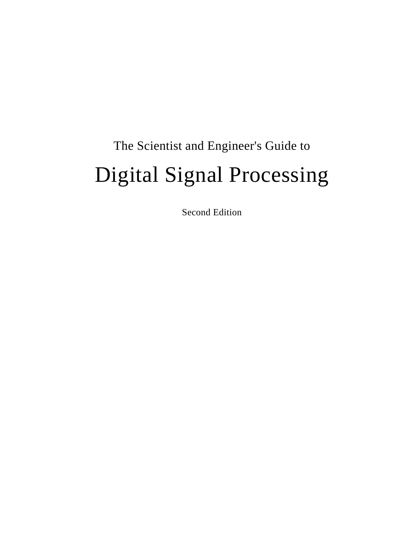# The Scientist and Engineer's Guide to Digital Signal Processing

Second Edition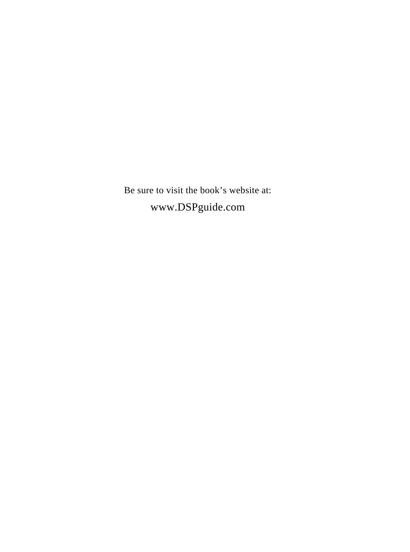Be sure to visit the book's website at: www.DSPguide.com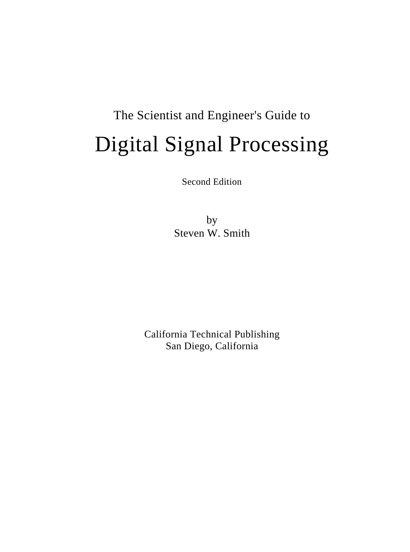# The Scientist and Engineer's Guide to Digital Signal Processing

Second Edition

by Steven W. Smith

California Technical Publishing San Diego, California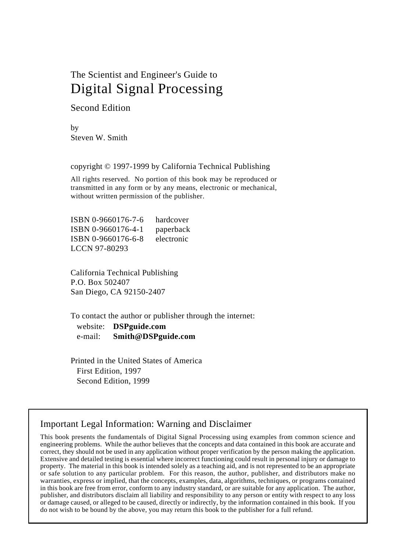# The Scientist and Engineer's Guide to Digital Signal Processing

Second Edition

by Steven W. Smith

copyright © 1997-1999 by California Technical Publishing

All rights reserved. No portion of this book may be reproduced or transmitted in any form or by any means, electronic or mechanical, without written permission of the publisher.

ISBN 0-9660176-7-6 hardcover ISBN 0-9660176-4-1 paperback ISBN 0-9660176-6-8 electronic LCCN 97-80293

California Technical Publishing P.O. Box 502407 San Diego, CA 92150-2407

To contact the author or publisher through the internet:

 website: **DSPguide.com** e-mail: **Smith@DSPguide.com**

Printed in the United States of America First Edition, 1997 Second Edition, 1999

### Important Legal Information: Warning and Disclaimer

This book presents the fundamentals of Digital Signal Processing using examples from common science and engineering problems. While the author believes that the concepts and data contained in this book are accurate and correct, they should not be used in any application without proper verification by the person making the application. Extensive and detailed testing is essential where incorrect functioning could result in personal injury or damage to property. The material in this book is intended solely as a teaching aid, and is not represented to be an appropriate or safe solution to any particular problem. For this reason, the author, publisher, and distributors make no warranties, express or implied, that the concepts, examples, data, algorithms, techniques, or programs contained in this book are free from error, conform to any industry standard, or are suitable for any application. The author, publisher, and distributors disclaim all liability and responsibility to any person or entity with respect to any loss or damage caused, or alleged to be caused, directly or indirectly, by the information contained in this book. If you do not wish to be bound by the above, you may return this book to the publisher for a full refund.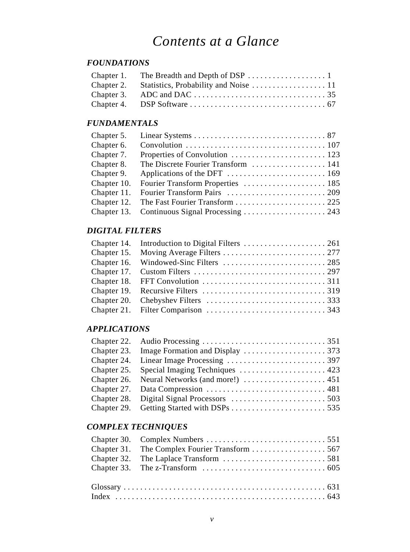# *Contents at a Glance*

### *FOUNDATIONS*

### *FUNDAMENTALS*

| Chapter 5.  |                                     |
|-------------|-------------------------------------|
| Chapter 6.  |                                     |
| Chapter 7.  |                                     |
| Chapter 8.  | The Discrete Fourier Transform  141 |
| Chapter 9.  |                                     |
| Chapter 10. |                                     |
| Chapter 11. |                                     |
| Chapter 12. |                                     |
| Chapter 13. |                                     |

### *DIGITAL FILTERS*

### *APPLICATIONS*

| Chapter 25. Special Imaging Techniques  423 |  |
|---------------------------------------------|--|
|                                             |  |
|                                             |  |
|                                             |  |
|                                             |  |

### *COMPLEX TECHNIQUES*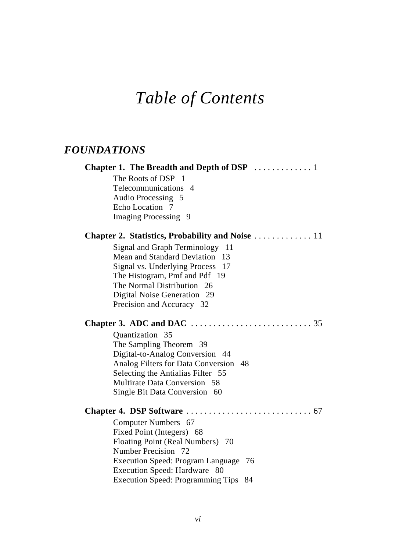# *Table of Contents*

### *FOUNDATIONS*

| The Roots of DSP<br>$\blacksquare$    |
|---------------------------------------|
| Telecommunications 4                  |
| Audio Processing 5                    |
| Echo Location 7                       |
| Imaging Processing 9                  |
|                                       |
| Signal and Graph Terminology<br>11    |
| Mean and Standard Deviation<br>13     |
| Signal vs. Underlying Process<br>17   |
| The Histogram, Pmf and Pdf 19         |
| The Normal Distribution 26            |
| Digital Noise Generation 29           |
| Precision and Accuracy 32             |
|                                       |
| Quantization 35                       |
| The Sampling Theorem 39               |
| Digital-to-Analog Conversion 44       |
| Analog Filters for Data Conversion 48 |
| Selecting the Antialias Filter 55     |
| Multirate Data Conversion 58          |
| Single Bit Data Conversion 60         |
|                                       |
| Computer Numbers 67                   |
| Fixed Point (Integers) 68             |
| Floating Point (Real Numbers) 70      |
| Number Precision 72                   |
| Execution Speed: Program Language 76  |
| Execution Speed: Hardware 80          |
| Execution Speed: Programming Tips 84  |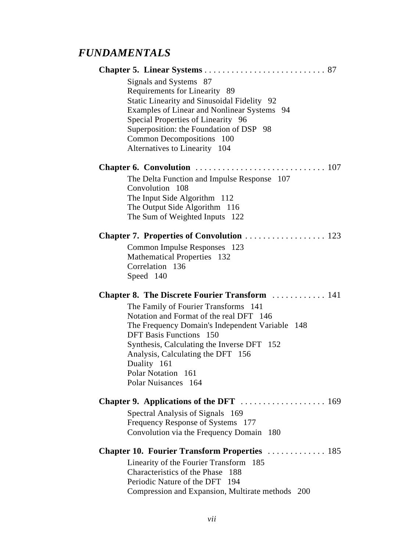## *FUNDAMENTALS*

|           | Signals and Systems 87                                                             |
|-----------|------------------------------------------------------------------------------------|
|           | Requirements for Linearity 89                                                      |
|           | Static Linearity and Sinusoidal Fidelity 92                                        |
|           | Examples of Linear and Nonlinear Systems 94                                        |
|           | Special Properties of Linearity 96                                                 |
|           | Superposition: the Foundation of DSP 98                                            |
|           | Common Decompositions 100                                                          |
|           | Alternatives to Linearity 104                                                      |
|           |                                                                                    |
|           | The Delta Function and Impulse Response 107                                        |
|           | Convolution 108                                                                    |
|           | The Input Side Algorithm 112                                                       |
|           | The Output Side Algorithm 116                                                      |
|           | The Sum of Weighted Inputs 122                                                     |
|           |                                                                                    |
|           | Common Impulse Responses 123                                                       |
|           | Mathematical Properties 132                                                        |
|           | Correlation 136                                                                    |
| Speed 140 |                                                                                    |
|           | <b>Chapter 8. The Discrete Fourier Transform</b> 141                               |
|           | The Family of Fourier Transforms 141                                               |
|           |                                                                                    |
|           | Notation and Format of the real DFT 146                                            |
|           | The Frequency Domain's Independent Variable 148                                    |
|           | <b>DFT Basis Functions</b> 150                                                     |
|           | Synthesis, Calculating the Inverse DFT 152                                         |
|           | Analysis, Calculating the DFT 156                                                  |
|           | Duality 161                                                                        |
|           | Polar Notation 161                                                                 |
|           | Polar Nuisances 164                                                                |
|           |                                                                                    |
|           | Spectral Analysis of Signals 169                                                   |
|           | Frequency Response of Systems 177                                                  |
|           | Convolution via the Frequency Domain<br>-180                                       |
|           | <b>Chapter 10. Fourier Transform Properties  185</b>                               |
|           | Linearity of the Fourier Transform<br>185                                          |
|           | Characteristics of the Phase<br>188                                                |
|           | Periodic Nature of the DFT 194<br>Compression and Expansion, Multirate methods 200 |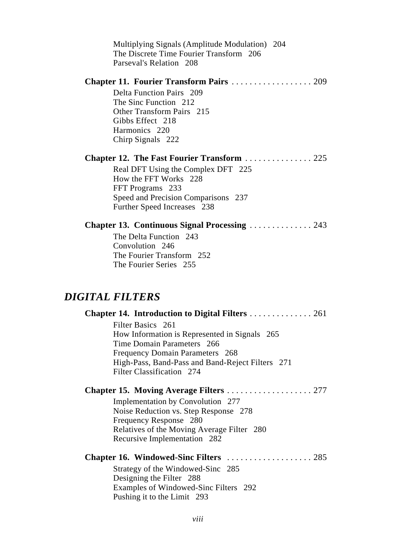| Multiplying Signals (Amplitude Modulation) 204<br>The Discrete Time Fourier Transform 206<br>Parseval's Relation 208                                                                                                                                                                               |
|----------------------------------------------------------------------------------------------------------------------------------------------------------------------------------------------------------------------------------------------------------------------------------------------------|
| Chapter 11. Fourier Transform Pairs  209<br>Delta Function Pairs 209<br>The Sinc Function 212<br>Other Transform Pairs 215<br>Gibbs Effect 218<br>Harmonics 220<br>Chirp Signals 222                                                                                                               |
| <b>Chapter 12. The Fast Fourier Transform  225</b><br>Real DFT Using the Complex DFT 225<br>How the FFT Works 228<br>FFT Programs 233<br>Speed and Precision Comparisons 237<br>Further Speed Increases 238                                                                                        |
| <b>Chapter 13. Continuous Signal Processing  243</b><br>The Delta Function 243<br>Convolution 246<br>The Fourier Transform 252<br>The Fourier Series 255                                                                                                                                           |
|                                                                                                                                                                                                                                                                                                    |
| <b>DIGITAL FILTERS</b><br>Chapter 14. Introduction to Digital Filters  261<br>Filter Basics 261<br>How Information is Represented in Signals 265<br>Time Domain Parameters 266<br>Frequency Domain Parameters 268<br>High-Pass, Band-Pass and Band-Reject Filters 271<br>Filter Classification 274 |
| Chapter 15. Moving Average Filters  277<br>Implementation by Convolution 277<br>Noise Reduction vs. Step Response 278<br>Frequency Response 280<br>Relatives of the Moving Average Filter 280<br>Recursive Implementation 282                                                                      |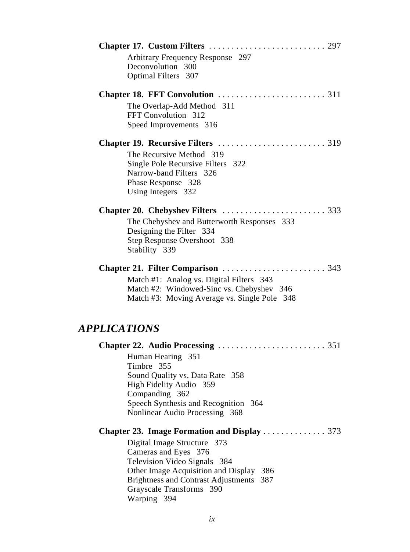|                            | Arbitrary Frequency Response 297<br>Deconvolution 300<br>Optimal Filters 307                                                                                                                                                      |
|----------------------------|-----------------------------------------------------------------------------------------------------------------------------------------------------------------------------------------------------------------------------------|
|                            |                                                                                                                                                                                                                                   |
|                            | The Overlap-Add Method 311<br>FFT Convolution 312<br>Speed Improvements 316                                                                                                                                                       |
|                            |                                                                                                                                                                                                                                   |
|                            | The Recursive Method 319<br>Single Pole Recursive Filters 322<br>Narrow-band Filters 326<br>Phase Response 328<br>Using Integers 332                                                                                              |
|                            |                                                                                                                                                                                                                                   |
|                            | The Chebyshev and Butterworth Responses 333<br>Designing the Filter 334<br>Step Response Overshoot 338<br>Stability 339                                                                                                           |
|                            |                                                                                                                                                                                                                                   |
|                            | Match #1: Analog vs. Digital Filters 343<br>Match #2: Windowed-Sinc vs. Chebyshev 346<br>Match #3: Moving Average vs. Single Pole 348                                                                                             |
| <i><b>APPLICATIONS</b></i> |                                                                                                                                                                                                                                   |
|                            |                                                                                                                                                                                                                                   |
|                            | Human Hearing 351<br>Timbre 355                                                                                                                                                                                                   |
|                            | Sound Quality vs. Data Rate 358                                                                                                                                                                                                   |
|                            | High Fidelity Audio 359<br>Companding 362                                                                                                                                                                                         |
|                            | Speech Synthesis and Recognition 364<br>Nonlinear Audio Processing 368                                                                                                                                                            |
|                            | <b>Chapter 23. Image Formation and Display </b> 373                                                                                                                                                                               |
|                            | Digital Image Structure 373<br>Cameras and Eyes 376<br>Television Video Signals 384<br>Other Image Acquisition and Display<br>386<br><b>Brightness and Contrast Adjustments</b><br>387<br>Grayscale Transforms 390<br>Warping 394 |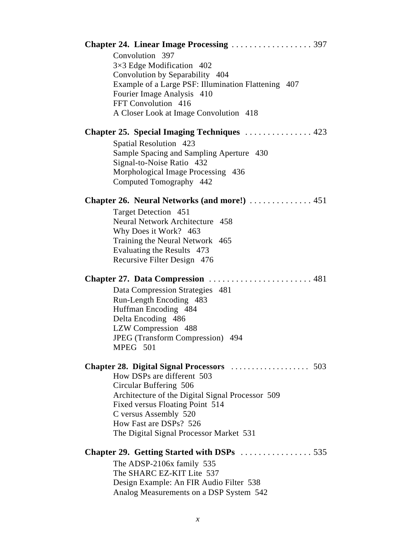| <b>Chapter 24. Linear Image Processing </b> 397                                    |
|------------------------------------------------------------------------------------|
| Convolution 397                                                                    |
| $3\times3$ Edge Modification 402                                                   |
| Convolution by Separability 404                                                    |
| Example of a Large PSF: Illumination Flattening 407                                |
| Fourier Image Analysis 410                                                         |
| FFT Convolution 416                                                                |
| A Closer Look at Image Convolution 418                                             |
| Chapter 25. Special Imaging Techniques  423                                        |
| Spatial Resolution 423                                                             |
| Sample Spacing and Sampling Aperture 430                                           |
| Signal-to-Noise Ratio 432                                                          |
| Morphological Image Processing 436<br>Computed Tomography 442                      |
|                                                                                    |
| Chapter 26. Neural Networks (and more!)  451                                       |
| Target Detection 451                                                               |
| Neural Network Architecture 458                                                    |
| Why Does it Work? 463<br>Training the Neural Network 465                           |
| Evaluating the Results 473                                                         |
| Recursive Filter Design 476                                                        |
|                                                                                    |
|                                                                                    |
| Data Compression Strategies 481                                                    |
| Run-Length Encoding 483                                                            |
| Huffman Encoding 484                                                               |
| Delta Encoding 486                                                                 |
| LZW Compression 488                                                                |
| JPEG (Transform Compression) 494                                                   |
| MPEG 501                                                                           |
|                                                                                    |
|                                                                                    |
| How DSPs are different 503                                                         |
| Circular Buffering 506                                                             |
| Architecture of the Digital Signal Processor 509                                   |
| Fixed versus Floating Point 514                                                    |
| C versus Assembly 520                                                              |
| How Fast are DSPs? 526                                                             |
| The Digital Signal Processor Market 531                                            |
|                                                                                    |
|                                                                                    |
| The ADSP-2106x family 535                                                          |
| The SHARC EZ-KIT Lite 537                                                          |
| Design Example: An FIR Audio Filter 538<br>Analog Measurements on a DSP System 542 |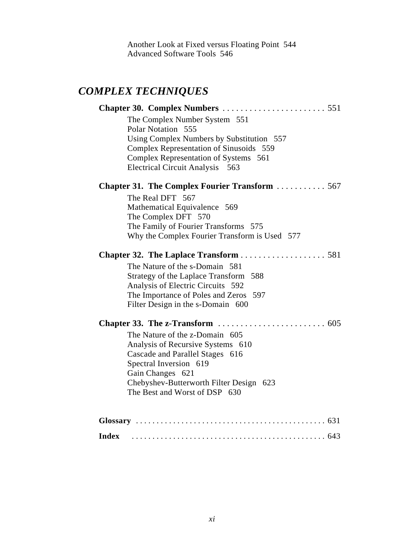Another Look at Fixed versus Floating Point 544 Advanced Software Tools 546

## *COMPLEX TECHNIQUES*

| The Complex Number System 551                                            |
|--------------------------------------------------------------------------|
| Polar Notation 555                                                       |
| Using Complex Numbers by Substitution 557                                |
| Complex Representation of Sinusoids 559                                  |
| Complex Representation of Systems 561                                    |
| Electrical Circuit Analysis 563                                          |
| <b>Chapter 31. The Complex Fourier Transform  567</b>                    |
| The Real DFT 567                                                         |
| Mathematical Equivalence 569                                             |
| The Complex DFT 570                                                      |
| The Family of Fourier Transforms 575                                     |
| Why the Complex Fourier Transform is Used 577                            |
|                                                                          |
| The Nature of the s-Domain 581                                           |
| Strategy of the Laplace Transform 588                                    |
| Analysis of Electric Circuits 592                                        |
| The Importance of Poles and Zeros 597                                    |
| Filter Design in the s-Domain 600                                        |
|                                                                          |
| The Nature of the z-Domain 605                                           |
| Analysis of Recursive Systems 610                                        |
| Cascade and Parallel Stages 616                                          |
| Spectral Inversion 619                                                   |
| Gain Changes 621                                                         |
| Chebyshev-Butterworth Filter Design 623<br>The Best and Worst of DSP 630 |
|                                                                          |
|                                                                          |
|                                                                          |
| <b>Index</b>                                                             |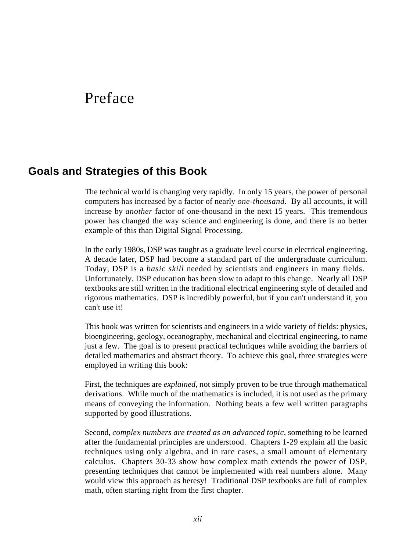# Preface

### **Goals and Strategies of this Book**

The technical world is changing very rapidly. In only 15 years, the power of personal computers has increased by a factor of nearly *one-thousand.* By all accounts, it will increase by *another* factor of one-thousand in the next 15 years. This tremendous power has changed the way science and engineering is done, and there is no better example of this than Digital Signal Processing.

In the early 1980s, DSP was taught as a graduate level course in electrical engineering. A decade later, DSP had become a standard part of the undergraduate curriculum. Today, DSP is a *basic skill* needed by scientists and engineers in many fields. Unfortunately, DSP education has been slow to adapt to this change. Nearly all DSP textbooks are still written in the traditional electrical engineering style of detailed and rigorous mathematics. DSP is incredibly powerful, but if you can't understand it, you can't use it!

This book was written for scientists and engineers in a wide variety of fields: physics, bioengineering, geology, oceanography, mechanical and electrical engineering, to name just a few. The goal is to present practical techniques while avoiding the barriers of detailed mathematics and abstract theory. To achieve this goal, three strategies were employed in writing this book:

First, the techniques are *explained*, not simply proven to be true through mathematical derivations. While much of the mathematics is included, it is not used as the primary means of conveying the information. Nothing beats a few well written paragraphs supported by good illustrations.

Second, *complex numbers are treated as an advanced topic*, something to be learned after the fundamental principles are understood. Chapters 1-29 explain all the basic techniques using only algebra, and in rare cases, a small amount of elementary calculus. Chapters 30-33 show how complex math extends the power of DSP, presenting techniques that cannot be implemented with real numbers alone. Many would view this approach as heresy! Traditional DSP textbooks are full of complex math, often starting right from the first chapter.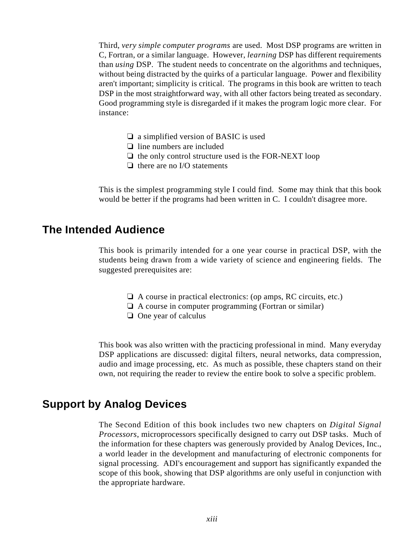Third, *very simple computer programs* are used. Most DSP programs are written in C, Fortran, or a similar language. However, *learning* DSP has different requirements than *using* DSP. The student needs to concentrate on the algorithms and techniques, without being distracted by the quirks of a particular language. Power and flexibility aren't important; simplicity is critical. The programs in this book are written to teach DSP in the most straightforward way, with all other factors being treated as secondary. Good programming style is disregarded if it makes the program logic more clear. For instance:

- $\Box$  a simplified version of BASIC is used
- $\Box$  line numbers are included
- $\Box$  the only control structure used is the FOR-NEXT loop
- $\Box$  there are no I/O statements

This is the simplest programming style I could find. Some may think that this book would be better if the programs had been written in C. I couldn't disagree more.

### **The Intended Audience**

This book is primarily intended for a one year course in practical DSP, with the students being drawn from a wide variety of science and engineering fields. The suggested prerequisites are:

- $\Box$  A course in practical electronics: (op amps, RC circuits, etc.)
- $\Box$  A course in computer programming (Fortran or similar)
- $\Box$  One year of calculus

This book was also written with the practicing professional in mind. Many everyday DSP applications are discussed: digital filters, neural networks, data compression, audio and image processing, etc. As much as possible, these chapters stand on their own, not requiring the reader to review the entire book to solve a specific problem.

### **Support by Analog Devices**

The Second Edition of this book includes two new chapters on *Digital Signal Processors*, microprocessors specifically designed to carry out DSP tasks. Much of the information for these chapters was generously provided by Analog Devices, Inc., a world leader in the development and manufacturing of electronic components for signal processing. ADI's encouragement and support has significantly expanded the scope of this book, showing that DSP algorithms are only useful in conjunction with the appropriate hardware.